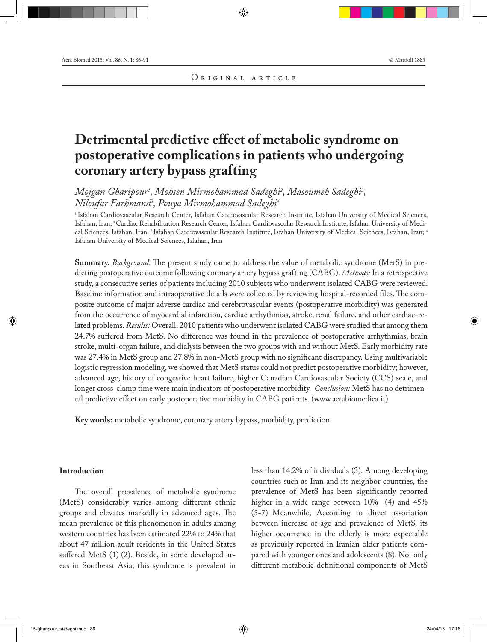# **Detrimental predictive effect of metabolic syndrome on postoperative complications in patients who undergoing coronary artery bypass grafting**

 $M$ ojgan Gharipour<sup>1</sup>, Mohsen Mirmohammad Sadeghi<sup>2</sup>, Masoumeh Sadeghi<sup>3</sup>, *Niloufar Farhmand3 , Pouya Mirmohammad Sadeghi4*

1 Isfahan Cardiovascular Research Center, Isfahan Cardiovascular Research Institute, Isfahan University of Medical Sciences, Isfahan, Iran; 2 Cardiac Rehabilitation Research Center, Isfahan Cardiovascular Research Institute, Isfahan University of Medical Sciences, Isfahan, Iran; 3 Isfahan Cardiovascular Research Institute, Isfahan University of Medical Sciences, Isfahan, Iran; 4 Isfahan University of Medical Sciences, Isfahan, Iran

**Summary.** *Background:* The present study came to address the value of metabolic syndrome (MetS) in predicting postoperative outcome following coronary artery bypass grafting (CABG). *Methods:* In a retrospective study, a consecutive series of patients including 2010 subjects who underwent isolated CABG were reviewed. Baseline information and intraoperative details were collected by reviewing hospital-recorded files. The composite outcome of major adverse cardiac and cerebrovascular events (postoperative morbidity) was generated from the occurrence of myocardial infarction, cardiac arrhythmias, stroke, renal failure, and other cardiac-related problems. *Results:* Overall, 2010 patients who underwent isolated CABG were studied that among them 24.7% suffered from MetS. No difference was found in the prevalence of postoperative arrhythmias, brain stroke, multi-organ failure, and dialysis between the two groups with and without MetS. Early morbidity rate was 27.4% in MetS group and 27.8% in non-MetS group with no significant discrepancy. Using multivariable logistic regression modeling, we showed that MetS status could not predict postoperative morbidity; however, advanced age, history of congestive heart failure, higher Canadian Cardiovascular Society (CCS) scale, and longer cross-clamp time were main indicators of postoperative morbidity. *Conclusion:* MetS has no detrimental predictive effect on early postoperative morbidity in CABG patients. (www.actabiomedica.it)

**Key words:** metabolic syndrome, coronary artery bypass, morbidity, prediction

## **Introduction**

The overall prevalence of metabolic syndrome (MetS) considerably varies among different ethnic groups and elevates markedly in advanced ages. The mean prevalence of this phenomenon in adults among western countries has been estimated 22% to 24% that about 47 million adult residents in the United States suffered MetS (1) (2). Beside, in some developed areas in Southeast Asia; this syndrome is prevalent in less than 14.2% of individuals (3). Among developing countries such as Iran and its neighbor countries, the prevalence of MetS has been significantly reported higher in a wide range between 10% (4) and 45% (5-7) Meanwhile, According to direct association between increase of age and prevalence of MetS, its higher occurrence in the elderly is more expectable as previously reported in Iranian older patients compared with younger ones and adolescents (8). Not only different metabolic definitional components of MetS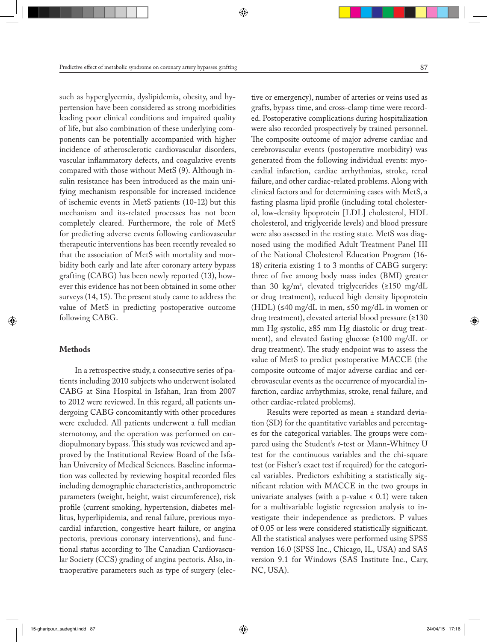such as hyperglycemia, dyslipidemia, obesity, and hypertension have been considered as strong morbidities leading poor clinical conditions and impaired quality of life, but also combination of these underlying components can be potentially accompanied with higher incidence of atherosclerotic cardiovascular disorders, vascular inflammatory defects, and coagulative events compared with those without MetS (9). Although insulin resistance has been introduced as the main unifying mechanism responsible for increased incidence of ischemic events in MetS patients (10-12) but this mechanism and its-related processes has not been completely cleared. Furthermore, the role of MetS for predicting adverse events following cardiovascular therapeutic interventions has been recently revealed so that the association of MetS with mortality and morbidity both early and late after coronary artery bypass grafting (CABG) has been newly reported (13), however this evidence has not been obtained in some other surveys (14, 15). The present study came to address the value of MetS in predicting postoperative outcome following CABG.

### **Methods**

In a retrospective study, a consecutive series of patients including 2010 subjects who underwent isolated CABG at Sina Hospital in Isfahan, Iran from 2007 to 2012 were reviewed. In this regard, all patients undergoing CABG concomitantly with other procedures were excluded. All patients underwent a full median sternotomy, and the operation was performed on cardiopulmonary bypass. This study was reviewed and approved by the Institutional Review Board of the Isfahan University of Medical Sciences. Baseline information was collected by reviewing hospital recorded files including demographic characteristics, anthropometric parameters (weight, height, waist circumference), risk profile (current smoking, hypertension, diabetes mellitus, hyperlipidemia, and renal failure, previous myocardial infarction, congestive heart failure, or angina pectoris, previous coronary interventions), and functional status according to The Canadian Cardiovascular Society (CCS) grading of angina pectoris. Also, intraoperative parameters such as type of surgery (elective or emergency), number of arteries or veins used as grafts, bypass time, and cross-clamp time were recorded. Postoperative complications during hospitalization were also recorded prospectively by trained personnel. The composite outcome of major adverse cardiac and cerebrovascular events (postoperative morbidity) was generated from the following individual events: myocardial infarction, cardiac arrhythmias, stroke, renal failure, and other cardiac-related problems. Along with clinical factors and for determining cases with MetS, a fasting plasma lipid profile (including total cholesterol, low-density lipoprotein [LDL] cholesterol, HDL cholesterol, and triglyceride levels) and blood pressure were also assessed in the resting state. MetS was diagnosed using the modified Adult Treatment Panel III of the National Cholesterol Education Program (16- 18) criteria existing 1 to 3 months of CABG surgery: three of five among body mass index (BMI) greater than 30 kg/m<sup>2</sup>, elevated triglycerides (≥150 mg/dL or drug treatment), reduced high density lipoprotein (HDL) (≤40 mg/dL in men, ≤50 mg/dL in women or drug treatment), elevated arterial blood pressure (≥130 mm Hg systolic, ≥85 mm Hg diastolic or drug treatment), and elevated fasting glucose (≥100 mg/dL or drug treatment). The study endpoint was to assess the value of MetS to predict postoperative MACCE (the composite outcome of major adverse cardiac and cerebrovascular events as the occurrence of myocardial infarction, cardiac arrhythmias, stroke, renal failure, and other cardiac-related problems).

Results were reported as mean ± standard deviation (SD) for the quantitative variables and percentages for the categorical variables. The groups were compared using the Student's *t*-test or Mann-Whitney U test for the continuous variables and the chi-square test (or Fisher's exact test if required) for the categorical variables. Predictors exhibiting a statistically significant relation with MACCE in the two groups in univariate analyses (with a p-value < 0.1) were taken for a multivariable logistic regression analysis to investigate their independence as predictors. P values of 0.05 or less were considered statistically significant. All the statistical analyses were performed using SPSS version 16.0 (SPSS Inc., Chicago, IL, USA) and SAS version 9.1 for Windows (SAS Institute Inc., Cary, NC, USA).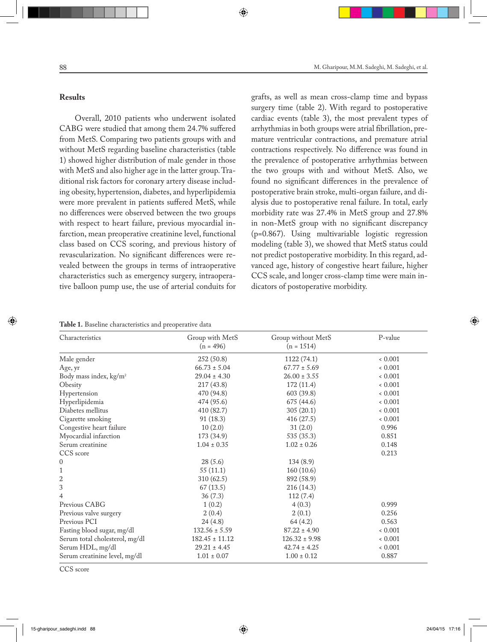### **Results**

Overall, 2010 patients who underwent isolated CABG were studied that among them 24.7% suffered from MetS. Comparing two patients groups with and without MetS regarding baseline characteristics (table 1) showed higher distribution of male gender in those with MetS and also higher age in the latter group. Traditional risk factors for coronary artery disease including obesity, hypertension, diabetes, and hyperlipidemia were more prevalent in patients suffered MetS, while no differences were observed between the two groups with respect to heart failure, previous myocardial infarction, mean preoperative creatinine level, functional class based on CCS scoring, and previous history of revascularization. No significant differences were revealed between the groups in terms of intraoperative characteristics such as emergency surgery, intraoperative balloon pump use, the use of arterial conduits for

grafts, as well as mean cross-clamp time and bypass surgery time (table 2). With regard to postoperative cardiac events (table 3), the most prevalent types of arrhythmias in both groups were atrial fibrillation, premature ventricular contractions, and premature atrial contractions respectively. No difference was found in the prevalence of postoperative arrhythmias between the two groups with and without MetS. Also, we found no significant differences in the prevalence of postoperative brain stroke, multi-organ failure, and dialysis due to postoperative renal failure. In total, early morbidity rate was 27.4% in MetS group and 27.8% in non-MetS group with no significant discrepancy (p=0.867). Using multivariable logistic regression modeling (table 3), we showed that MetS status could not predict postoperative morbidity. In this regard, advanced age, history of congestive heart failure, higher CCS scale, and longer cross-clamp time were main indicators of postoperative morbidity.

**Table 1.** Baseline characteristics and preoperative data

| Characteristics                    | Group with MetS    | Group without MetS | P-value |
|------------------------------------|--------------------|--------------------|---------|
|                                    | $(n = 496)$        | $(n = 1514)$       |         |
| Male gender                        | 252 (50.8)         | 1122 (74.1)        | 0.001   |
| Age, yr                            | $66.73 \pm 5.04$   | $67.77 \pm 5.69$   | 0.001   |
| Body mass index, kg/m <sup>2</sup> | $29.04 \pm 4.30$   | $26.00 \pm 3.55$   | 0.001   |
| Obesity                            | 217(43.8)          | 172(11.4)          | 0.001   |
| Hypertension                       | 470 (94.8)         | 603 (39.8)         | 0.001   |
| Hyperlipidemia                     | 474 (95.6)         | 675 (44.6)         | 0.001   |
| Diabetes mellitus                  | 410 (82.7)         | 305(20.1)          | 0.001   |
| Cigarette smoking                  | 91 (18.3)          | 416 (27.5)         | 0.001   |
| Congestive heart failure           | 10(2.0)            | 31(2.0)            | 0.996   |
| Myocardial infarction              | 173 (34.9)         | 535 (35.3)         | 0.851   |
| Serum creatinine                   | $1.04 \pm 0.35$    | $1.02 \pm 0.26$    | 0.148   |
| CCS score                          |                    |                    | 0.213   |
| $\mathbf{0}$                       | 28(5.6)            | 134(8.9)           |         |
| $\mathbf{1}$                       | 55(11.1)           | 160(10.6)          |         |
| $\overline{\mathbf{c}}$            | 310(62.5)          | 892 (58.9)         |         |
| 3                                  | 67(13.5)           | 216 (14.3)         |         |
| 4                                  | 36(7.3)            | 112(7.4)           |         |
| Previous CABG                      | 1(0.2)             | 4(0.3)             | 0.999   |
| Previous valve surgery             | 2(0.4)             | 2(0.1)             | 0.256   |
| Previous PCI                       | 24(4.8)            | 64(4.2)            | 0.563   |
| Fasting blood sugar, mg/dl         | $132.56 \pm 5.59$  | $87.22 \pm 4.90$   | 0.001   |
| Serum total cholesterol, mg/dl     | $182.45 \pm 11.12$ | $126.32 \pm 9.98$  | 0.001   |
| Serum HDL, mg/dl                   | $29.21 \pm 4.45$   | $42.74 \pm 4.25$   | 0.001   |
| Serum creatinine level, mg/dl      | $1.01 \pm 0.07$    | $1.00 \pm 0.12$    | 0.887   |

CCS score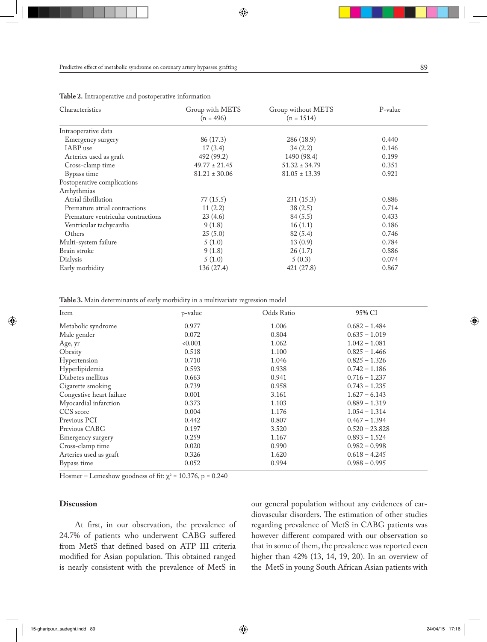| Characteristics                    | Group with METS<br>$(n = 496)$ | Group without METS<br>$(n = 1514)$ | P-value |  |  |
|------------------------------------|--------------------------------|------------------------------------|---------|--|--|
| Intraoperative data                |                                |                                    |         |  |  |
| Emergency surgery                  | 86 (17.3)                      | 286 (18.9)                         | 0.440   |  |  |
| IABP use                           | 17(3.4)                        | 34(2.2)                            | 0.146   |  |  |
| Arteries used as graft             | 492 (99.2)                     | 1490 (98.4)                        | 0.199   |  |  |
| Cross-clamp time                   | $49.77 \pm 21.45$              | $51.32 \pm 34.79$                  | 0.351   |  |  |
| Bypass time                        | $81.21 \pm 30.06$              | $81.05 \pm 13.39$                  | 0.921   |  |  |
| Postoperative complications        |                                |                                    |         |  |  |
| Arrhythmias                        |                                |                                    |         |  |  |
| Atrial fibrillation                | 77 (15.5)                      | 231 (15.3)                         | 0.886   |  |  |
| Premature atrial contractions      | 11(2.2)                        | 38(2.5)                            | 0.714   |  |  |
| Premature ventricular contractions | 23(4.6)                        | 84(5.5)                            | 0.433   |  |  |
| Ventricular tachycardia            | 9(1.8)                         | 16(1.1)                            | 0.186   |  |  |
| Others                             | 25(5.0)                        | 82 (5.4)                           | 0.746   |  |  |
| Multi-system failure               | 5(1.0)                         | 13(0.9)                            | 0.784   |  |  |
| Brain stroke                       | 9(1.8)                         | 26(1.7)                            | 0.886   |  |  |
| Dialysis                           | 5(1.0)                         | 5(0.3)                             | 0.074   |  |  |
| Early morbidity                    | 136 (27.4)                     | 421 (27.8)                         | 0.867   |  |  |

**Table 2.** Intraoperative and postoperative information

**Table 3.** Main determinants of early morbidity in a multivariate regression model

| Item                     | p-value | Odds Ratio | 95% CI           |
|--------------------------|---------|------------|------------------|
| Metabolic syndrome       | 0.977   | 1.006      | $0.682 - 1.484$  |
| Male gender              | 0.072   | 0.804      | $0.635 - 1.019$  |
| Age, yr                  | 0.001   | 1.062      | $1.042 - 1.081$  |
| Obesity                  | 0.518   | 1.100      | $0.825 - 1.466$  |
| Hypertension             | 0.710   | 1.046      | $0.825 - 1.326$  |
| Hyperlipidemia           | 0.593   | 0.938      | $0.742 - 1.186$  |
| Diabetes mellitus        | 0.663   | 0.941      | $0.716 - 1.237$  |
| Cigarette smoking        | 0.739   | 0.958      | $0.743 - 1.235$  |
| Congestive heart failure | 0.001   | 3.161      | $1.627 - 6.143$  |
| Myocardial infarction    | 0.373   | 1.103      | $0.889 - 1.319$  |
| CCS score                | 0.004   | 1.176      | $1.054 - 1.314$  |
| Previous PCI             | 0.442   | 0.807      | $0.467 - 1.394$  |
| Previous CABG            | 0.197   | 3.520      | $0.520 - 23.828$ |
| Emergency surgery        | 0.259   | 1.167      | $0.893 - 1.524$  |
| Cross-clamp time         | 0.020   | 0.990      | $0.982 - 0.998$  |
| Arteries used as graft   | 0.326   | 1.620      | $0.618 - 4.245$  |
| Bypass time              | 0.052   | 0.994      | $0.988 - 0.995$  |

Hosmer – Lemeshow goodness of fit:  $\chi^2$  = 10.376, p = 0.240

#### **Discussion**

At first, in our observation, the prevalence of 24.7% of patients who underwent CABG suffered from MetS that defined based on ATP III criteria modified for Asian population. This obtained ranged is nearly consistent with the prevalence of MetS in

our general population without any evidences of cardiovascular disorders. The estimation of other studies regarding prevalence of MetS in CABG patients was however different compared with our observation so that in some of them, the prevalence was reported even higher than 42% (13, 14, 19, 20). In an overview of the MetS in young South African Asian patients with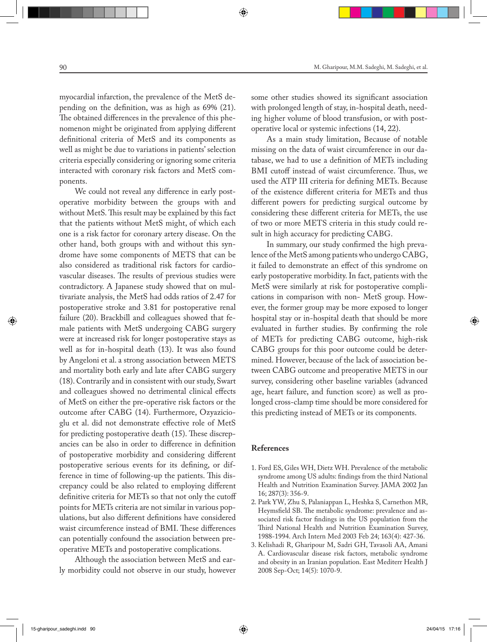myocardial infarction, the prevalence of the MetS depending on the definition, was as high as 69% (21). The obtained differences in the prevalence of this phenomenon might be originated from applying different definitional criteria of MetS and its components as well as might be due to variations in patients' selection criteria especially considering or ignoring some criteria interacted with coronary risk factors and MetS components.

We could not reveal any difference in early postoperative morbidity between the groups with and without MetS. This result may be explained by this fact that the patients without MetS might, of which each one is a risk factor for coronary artery disease. On the other hand, both groups with and without this syndrome have some components of METS that can be also considered as traditional risk factors for cardiovascular diseases. The results of previous studies were contradictory. A Japanese study showed that on multivariate analysis, the MetS had odds ratios of 2.47 for postoperative stroke and 3.81 for postoperative renal failure (20). Brackbill and colleagues showed that female patients with MetS undergoing CABG surgery were at increased risk for longer postoperative stays as well as for in-hospital death (13). It was also found by Angeloni et al. a strong association between METS and mortality both early and late after CABG surgery (18). Contrarily and in consistent with our study, Swart and colleagues showed no detrimental clinical effects of MetS on either the pre-operative risk factors or the outcome after CABG (14). Furthermore, Ozyazicioglu et al. did not demonstrate effective role of MetS for predicting postoperative death (15). These discrepancies can be also in order to difference in definition of postoperative morbidity and considering different postoperative serious events for its defining, or difference in time of following-up the patients. This discrepancy could be also related to employing different definitive criteria for METs so that not only the cutoff points for METs criteria are not similar in various populations, but also different definitions have considered waist circumference instead of BMI. These differences can potentially confound the association between preoperative METs and postoperative complications.

Although the association between MetS and early morbidity could not observe in our study, however some other studies showed its significant association with prolonged length of stay, in-hospital death, needing higher volume of blood transfusion, or with post-

operative local or systemic infections (14, 22).

As a main study limitation, Because of notable missing on the data of waist circumference in our database, we had to use a definition of METs including BMI cutoff instead of waist circumference. Thus, we used the ATP III criteria for defining METs. Because of the existence different criteria for METs and thus different powers for predicting surgical outcome by considering these different criteria for METs, the use of two or more METS criteria in this study could result in high accuracy for predicting CABG.

In summary, our study confirmed the high prevalence of the MetS among patients who undergo CABG, it failed to demonstrate an effect of this syndrome on early postoperative morbidity. In fact, patients with the MetS were similarly at risk for postoperative complications in comparison with non- MetS group. However, the former group may be more exposed to longer hospital stay or in-hospital death that should be more evaluated in further studies. By confirming the role of METs for predicting CABG outcome, high-risk CABG groups for this poor outcome could be determined. However, because of the lack of association between CABG outcome and preoperative METS in our survey, considering other baseline variables (advanced age, heart failure, and function score) as well as prolonged cross-clamp time should be more considered for this predicting instead of METs or its components.

#### **References**

- 1. Ford ES, Giles WH, Dietz WH. Prevalence of the metabolic syndrome among US adults: findings from the third National Health and Nutrition Examination Survey. JAMA 2002 Jan 16; 287(3): 356-9.
- 2. Park YW, Zhu S, Palaniappan L, Heshka S, Carnethon MR, Heymsfield SB. The metabolic syndrome: prevalence and associated risk factor findings in the US population from the Third National Health and Nutrition Examination Survey, 1988-1994. Arch Intern Med 2003 Feb 24; 163(4): 427-36.
- 3. Kelishadi R, Gharipour M, Sadri GH, Tavasoli AA, Amani A. Cardiovascular disease risk factors, metabolic syndrome and obesity in an Iranian population. East Mediterr Health J 2008 Sep-Oct; 14(5): 1070-9.